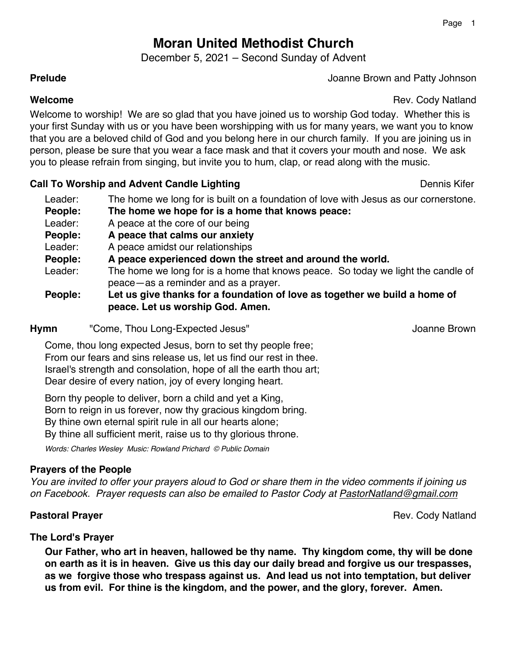# **Moran United Methodist Church**

December 5, 2021 – Second Sunday of Advent

**Prelude Prelude Prelude Joanne Brown and Patty Johnson** 

**Welcome Rev. Cody Natland** 

Welcome to worship! We are so glad that you have joined us to worship God today. Whether this is your first Sunday with us or you have been worshipping with us for many years, we want you to know that you are a beloved child of God and you belong here in our church family. If you are joining us in person, please be sure that you wear a face mask and that it covers your mouth and nose. We ask you to please refrain from singing, but invite you to hum, clap, or read along with the music.

# **Call To Worship and Advent Candle Lighting Candidate Candidate Candidate Candidate Candidate Candidate Candidate Candidate Candidate Candidate Candidate Candidate Candidate Candidate Candidate Candidate Candidate Candidat**

| Leader: | The home we long for is built on a foundation of love with Jesus as our cornerstone.                                       |
|---------|----------------------------------------------------------------------------------------------------------------------------|
| People: | The home we hope for is a home that knows peace:                                                                           |
| Leader: | A peace at the core of our being                                                                                           |
| People: | A peace that calms our anxiety                                                                                             |
| Leader: | A peace amidst our relationships                                                                                           |
| People: | A peace experienced down the street and around the world.                                                                  |
| Leader: | The home we long for is a home that knows peace. So today we light the candle of<br>peace – as a reminder and as a prayer. |
| People: | Let us give thanks for a foundation of love as together we build a home of<br>peace. Let us worship God. Amen.             |

**Hymn** "Come, Thou Long-Expected Jesus" Cometable and the settlement of the Upanne Brown

Come, thou long expected Jesus, born to set thy people free; From our fears and sins release us, let us find our rest in thee. Israel's strength and consolation, hope of all the earth thou art; Dear desire of every nation, joy of every longing heart.

Born thy people to deliver, born a child and yet a King, Born to reign in us forever, now thy gracious kingdom bring. By thine own eternal spirit rule in all our hearts alone; By thine all sufficient merit, raise us to thy glorious throne.

*Words: Charles Wesley Music: Rowland Prichard © Public Domain*

# **Prayers of the People**

*You are invited to offer your prayers aloud to God or share them in the video comments if joining us on Facebook. Prayer requests can also be emailed to Pastor Cody at PastorNatland@gmail.com*

**Pastoral Prayer Community Community Pastoral Prayer Act of the Pastoral Prayer Act of the Pastoral Prayer Act of the Pastoral Prayer Act of the Pastoral Prayer Act of the Pastoral Prayer Act of the Pastoral Prayer Act of** 

# **The Lord's Prayer**

**Our Father, who art in heaven, hallowed be thy name. Thy kingdom come, thy will be done on earth as it is in heaven. Give us this day our daily bread and forgive us our trespasses, as we forgive those who trespass against us. And lead us not into temptation, but deliver us from evil. For thine is the kingdom, and the power, and the glory, forever. Amen.**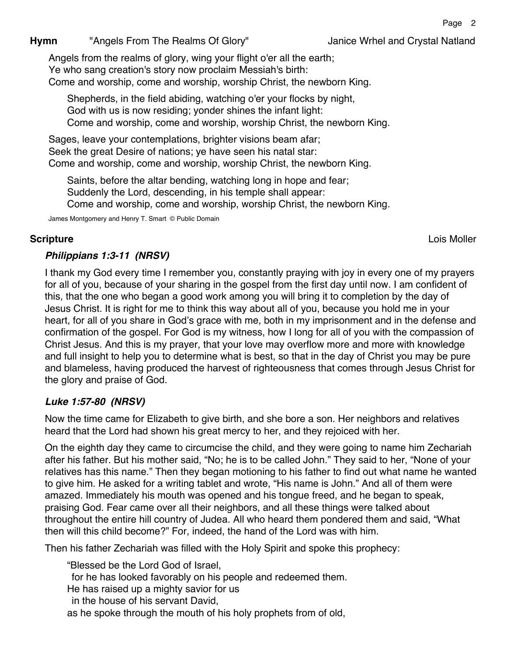**Hymn** "Angels From The Realms Of Glory" Janice Wrhel and Crystal Natland

Angels from the realms of glory, wing your flight o'er all the earth; Ye who sang creation's story now proclaim Messiah's birth: Come and worship, come and worship, worship Christ, the newborn King.

Shepherds, in the field abiding, watching o'er your flocks by night, God with us is now residing; yonder shines the infant light: Come and worship, come and worship, worship Christ, the newborn King.

Sages, leave your contemplations, brighter visions beam afar; Seek the great Desire of nations; ye have seen his natal star: Come and worship, come and worship, worship Christ, the newborn King.

Saints, before the altar bending, watching long in hope and fear; Suddenly the Lord, descending, in his temple shall appear: Come and worship, come and worship, worship Christ, the newborn King.

James Montgomery and Henry T. Smart © Public Domain

*Philippians 1:3-11 (NRSV)*

I thank my God every time I remember you, constantly praying with joy in every one of my prayers for all of you, because of your sharing in the gospel from the first day until now. I am confident of this, that the one who began a good work among you will bring it to completion by the day of Jesus Christ. It is right for me to think this way about all of you, because you hold me in your heart, for all of you share in God's grace with me, both in my imprisonment and in the defense and confirmation of the gospel. For God is my witness, how I long for all of you with the compassion of Christ Jesus. And this is my prayer, that your love may overflow more and more with knowledge and full insight to help you to determine what is best, so that in the day of Christ you may be pure and blameless, having produced the harvest of righteousness that comes through Jesus Christ for the glory and praise of God.

# *Luke 1:57-80 (NRSV)*

Now the time came for Elizabeth to give birth, and she bore a son. Her neighbors and relatives heard that the Lord had shown his great mercy to her, and they rejoiced with her.

On the eighth day they came to circumcise the child, and they were going to name him Zechariah after his father. But his mother said, "No; he is to be called John." They said to her, "None of your relatives has this name." Then they began motioning to his father to find out what name he wanted to give him. He asked for a writing tablet and wrote, "His name is John." And all of them were amazed. Immediately his mouth was opened and his tongue freed, and he began to speak, praising God. Fear came over all their neighbors, and all these things were talked about throughout the entire hill country of Judea. All who heard them pondered them and said, "What then will this child become?" For, indeed, the hand of the Lord was with him.

Then his father Zechariah was filled with the Holy Spirit and spoke this prophecy:

"Blessed be the Lord God of Israel, for he has looked favorably on his people and redeemed them. He has raised up a mighty savior for us in the house of his servant David,

as he spoke through the mouth of his holy prophets from of old,

**Scripture** Lois Moller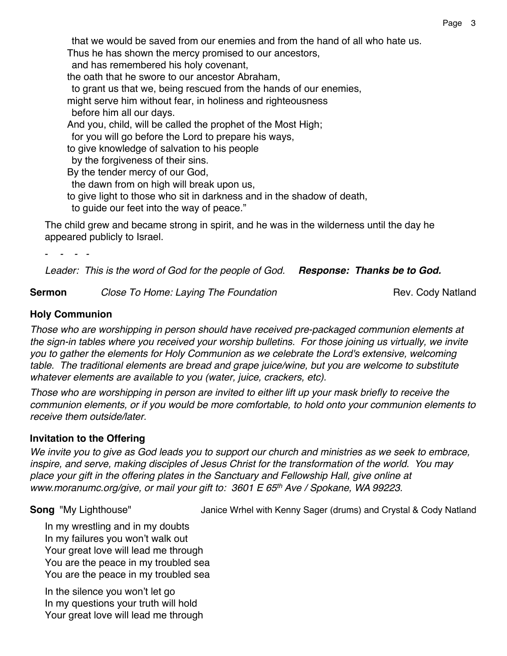that we would be saved from our enemies and from the hand of all who hate us.

Thus he has shown the mercy promised to our ancestors,

and has remembered his holy covenant,

the oath that he swore to our ancestor Abraham,

to grant us that we, being rescued from the hands of our enemies,

might serve him without fear, in holiness and righteousness

before him all our days.

And you, child, will be called the prophet of the Most High;

for you will go before the Lord to prepare his ways,

to give knowledge of salvation to his people

by the forgiveness of their sins.

By the tender mercy of our God,

the dawn from on high will break upon us,

to give light to those who sit in darkness and in the shadow of death,

to guide our feet into the way of peace."

The child grew and became strong in spirit, and he was in the wilderness until the day he appeared publicly to Israel.

- *- - -*

*Leader: This is the word of God for the people of God. Response: Thanks be to God.*

**Sermon** *Close To Home: Laying The Foundation Rev. Cody Natland Rev. Cody Natland* 

### **Holy Communion**

*Those who are worshipping in person should have received pre-packaged communion elements at the sign-in tables where you received your worship bulletins. For those joining us virtually, we invite you to gather the elements for Holy Communion as we celebrate the Lord's extensive, welcoming table. The traditional elements are bread and grape juice/wine, but you are welcome to substitute whatever elements are available to you (water, juice, crackers, etc).*

*Those who are worshipping in person are invited to either lift up your mask briefly to receive the communion elements, or if you would be more comfortable, to hold onto your communion elements to receive them outside/later.*

#### **Invitation to the Offering**

*We invite you to give as God leads you to support our church and ministries as we seek to embrace, inspire, and serve, making disciples of Jesus Christ for the transformation of the world. You may place your gift in the offering plates in the Sanctuary and Fellowship Hall, give online at www.moranumc.org/give, or mail your gift to: 3601 E 65th Ave / Spokane, WA 99223.*

**Song** "My Lighthouse" Janice Wrhel with Kenny Sager (drums) and Crystal & Cody Natland

In my wrestling and in my doubts In my failures you won't walk out Your great love will lead me through You are the peace in my troubled sea You are the peace in my troubled sea

In the silence you won't let go In my questions your truth will hold Your great love will lead me through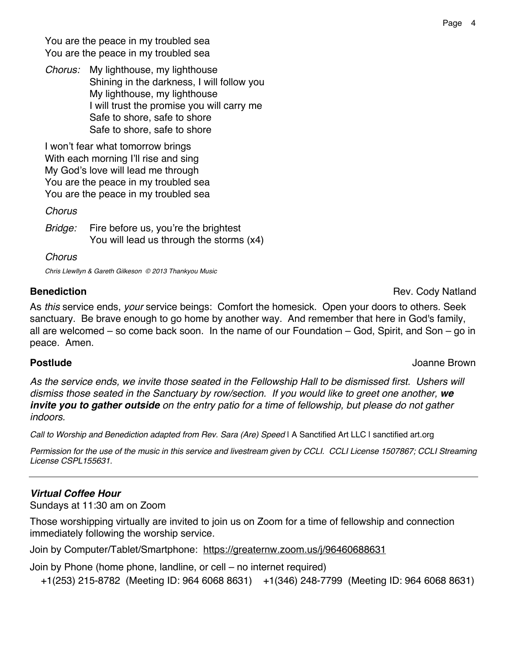You are the peace in my troubled sea You are the peace in my troubled sea

*Chorus:* My lighthouse, my lighthouse Shining in the darkness, I will follow you My lighthouse, my lighthouse I will trust the promise you will carry me Safe to shore, safe to shore Safe to shore, safe to shore

I won't fear what tomorrow brings With each morning I'll rise and sing My God's love will lead me through You are the peace in my troubled sea You are the peace in my troubled sea

#### *Chorus*

*Bridge:* Fire before us*,* you're the brightest You will lead us through the storms (x4)

#### *Chorus*

*Chris Llewllyn & Gareth Gilkeson © 2013 Thankyou Music*

**Benediction** Rev. Cody Natland

As *this* service ends, *your* service beings: Comfort the homesick. Open your doors to others. Seek sanctuary. Be brave enough to go home by another way. And remember that here in God's family, all are welcomed – so come back soon. In the name of our Foundation – God, Spirit, and Son – go in peace. Amen.

**Postlude** Joanne Brown

*As the service ends, we invite those seated in the Fellowship Hall to be dismissed first. Ushers will dismiss those seated in the Sanctuary by row/section. If you would like to greet one another, we invite you to gather outside on the entry patio for a time of fellowship, but please do not gather indoors.*

*Call to Worship and Benediction adapted from Rev. Sara (Are) Speed* | A Sanctified Art LLC | sanctified art.org

*Permission for the use of the music in this service and livestream given by CCLI. CCLI License 1507867; CCLI Streaming License CSPL155631.*

# *Virtual Coffee Hour*

Sundays at 11:30 am on Zoom

Those worshipping virtually are invited to join us on Zoom for a time of fellowship and connection immediately following the worship service.

Join by Computer/Tablet/Smartphone: https://greaternw.zoom.us/j/96460688631

Join by Phone (home phone, landline, or cell – no internet required)

+1(253) 215-8782 (Meeting ID: 964 6068 8631) +1(346) 248-7799 (Meeting ID: 964 6068 8631)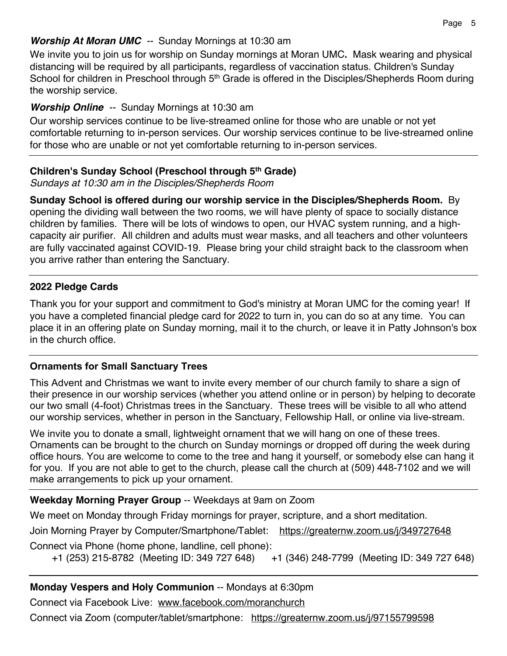# *Worship At Moran UMC --* Sunday Mornings at 10:30 am

We invite you to join us for worship on Sunday mornings at Moran UMC**.** Mask wearing and physical distancing will be required by all participants, regardless of vaccination status. Children's Sunday School for children in Preschool through 5<sup>th</sup> Grade is offered in the Disciples/Shepherds Room during the worship service.

# *Worship Online --* Sunday Mornings at 10:30 am

Our worship services continue to be live-streamed online for those who are unable or not yet comfortable returning to in-person services. Our worship services continue to be live-streamed online for those who are unable or not yet comfortable returning to in-person services.

# **Children's Sunday School (Preschool through 5th Grade)**

*Sundays at 10:30 am in the Disciples/Shepherds Room*

**Sunday School is offered during our worship service in the Disciples/Shepherds Room.** By opening the dividing wall between the two rooms, we will have plenty of space to socially distance children by families. There will be lots of windows to open, our HVAC system running, and a highcapacity air purifier. All children and adults must wear masks, and all teachers and other volunteers are fully vaccinated against COVID-19. Please bring your child straight back to the classroom when you arrive rather than entering the Sanctuary.

# **2022 Pledge Cards**

Thank you for your support and commitment to God's ministry at Moran UMC for the coming year! If you have a completed financial pledge card for 2022 to turn in, you can do so at any time. You can place it in an offering plate on Sunday morning, mail it to the church, or leave it in Patty Johnson's box in the church office.

# **Ornaments for Small Sanctuary Trees**

This Advent and Christmas we want to invite every member of our church family to share a sign of their presence in our worship services (whether you attend online or in person) by helping to decorate our two small (4-foot) Christmas trees in the Sanctuary. These trees will be visible to all who attend our worship services, whether in person in the Sanctuary, Fellowship Hall, or online via live-stream.

We invite you to donate a small, lightweight ornament that we will hang on one of these trees. Ornaments can be brought to the church on Sunday mornings or dropped off during the week during office hours. You are welcome to come to the tree and hang it yourself, or somebody else can hang it for you. If you are not able to get to the church, please call the church at (509) 448-7102 and we will make arrangements to pick up your ornament.

# **Weekday Morning Prayer Group** -- Weekdays at 9am on Zoom

We meet on Monday through Friday mornings for prayer, scripture, and a short meditation.

Join Morning Prayer by Computer/Smartphone/Tablet: https://greaternw.zoom.us/j/349727648

Connect via Phone (home phone, landline, cell phone):

+1 (253) 215-8782 (Meeting ID: 349 727 648) +1 (346) 248-7799 (Meeting ID: 349 727 648)

# **Monday Vespers and Holy Communion** -- Mondays at 6:30pm

Connect via Facebook Live: www.facebook.com/moranchurch

Connect via Zoom (computer/tablet/smartphone: https://greaternw.zoom.us/j/97155799598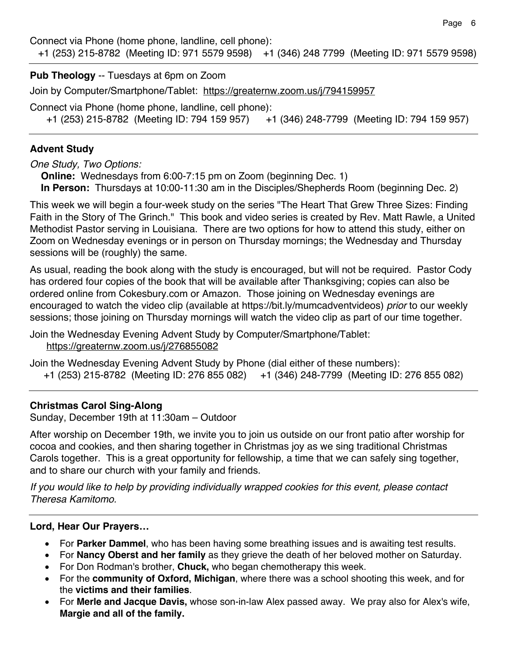Connect via Phone (home phone, landline, cell phone):

+1 (253) 215-8782 (Meeting ID: 971 5579 9598) +1 (346) 248 7799 (Meeting ID: 971 5579 9598)

### **Pub Theology** -- Tuesdays at 6pm on Zoom

Join by Computer/Smartphone/Tablet: https://greaternw.zoom.us/j/794159957

Connect via Phone (home phone, landline, cell phone): +1 (253) 215-8782 (Meeting ID: 794 159 957) +1 (346) 248-7799 (Meeting ID: 794 159 957)

#### **Advent Study**

*One Study, Two Options:* 

 **Online:** Wednesdays from 6:00-7:15 pm on Zoom (beginning Dec. 1) **In Person:** Thursdays at 10:00-11:30 am in the Disciples/Shepherds Room (beginning Dec. 2)

This week we will begin a four-week study on the series "The Heart That Grew Three Sizes: Finding Faith in the Story of The Grinch." This book and video series is created by Rev. Matt Rawle, a United Methodist Pastor serving in Louisiana. There are two options for how to attend this study, either on Zoom on Wednesday evenings or in person on Thursday mornings; the Wednesday and Thursday sessions will be (roughly) the same.

As usual, reading the book along with the study is encouraged, but will not be required. Pastor Cody has ordered four copies of the book that will be available after Thanksgiving; copies can also be ordered online from Cokesbury.com or Amazon. Those joining on Wednesday evenings are encouraged to watch the video clip (available at https://bit.ly/mumcadventvideos) *prior* to our weekly sessions; those joining on Thursday mornings will watch the video clip as part of our time together.

Join the Wednesday Evening Advent Study by Computer/Smartphone/Tablet: https://greaternw.zoom.us/j/276855082

Join the Wednesday Evening Advent Study by Phone (dial either of these numbers): +1 (253) 215-8782 (Meeting ID: 276 855 082) +1 (346) 248-7799 (Meeting ID: 276 855 082)

#### **Christmas Carol Sing-Along**

Sunday, December 19th at 11:30am – Outdoor

After worship on December 19th, we invite you to join us outside on our front patio after worship for cocoa and cookies, and then sharing together in Christmas joy as we sing traditional Christmas Carols together. This is a great opportunity for fellowship, a time that we can safely sing together, and to share our church with your family and friends.

*If you would like to help by providing individually wrapped cookies for this event, please contact Theresa Kamitomo.*

#### **Lord, Hear Our Prayers…**

- For **Parker Dammel**, who has been having some breathing issues and is awaiting test results.
- For **Nancy Oberst and her family** as they grieve the death of her beloved mother on Saturday.
- For Don Rodman's brother, **Chuck,** who began chemotherapy this week.
- For the **community of Oxford, Michigan**, where there was a school shooting this week, and for the **victims and their families**.
- For **Merle and Jacque Davis,** whose son-in-law Alex passed away. We pray also for Alex's wife, **Margie and all of the family.**